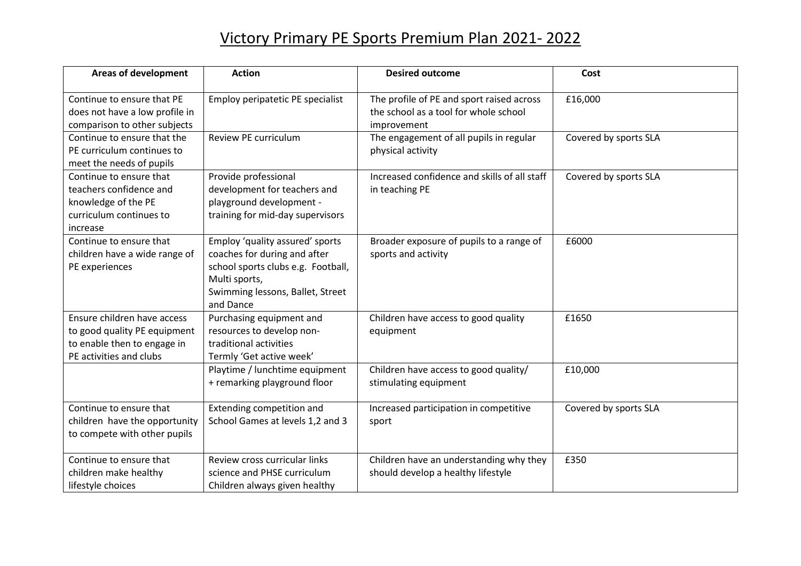## Victory Primary PE Sports Premium Plan 2021- 2022

| <b>Areas of development</b>                                                                                           | <b>Action</b>                                                                                                                                                           | <b>Desired outcome</b>                                                                            | Cost                  |
|-----------------------------------------------------------------------------------------------------------------------|-------------------------------------------------------------------------------------------------------------------------------------------------------------------------|---------------------------------------------------------------------------------------------------|-----------------------|
| Continue to ensure that PE<br>does not have a low profile in<br>comparison to other subjects                          | Employ peripatetic PE specialist                                                                                                                                        | The profile of PE and sport raised across<br>the school as a tool for whole school<br>improvement | £16,000               |
| Continue to ensure that the<br>PE curriculum continues to<br>meet the needs of pupils                                 | Review PE curriculum                                                                                                                                                    | The engagement of all pupils in regular<br>physical activity                                      | Covered by sports SLA |
| Continue to ensure that<br>teachers confidence and<br>knowledge of the PE<br>curriculum continues to<br>increase      | Provide professional<br>development for teachers and<br>playground development -<br>training for mid-day supervisors                                                    | Increased confidence and skills of all staff<br>in teaching PE                                    | Covered by sports SLA |
| Continue to ensure that<br>children have a wide range of<br>PE experiences                                            | Employ 'quality assured' sports<br>coaches for during and after<br>school sports clubs e.g. Football,<br>Multi sports,<br>Swimming lessons, Ballet, Street<br>and Dance | Broader exposure of pupils to a range of<br>sports and activity                                   | £6000                 |
| Ensure children have access<br>to good quality PE equipment<br>to enable then to engage in<br>PE activities and clubs | Purchasing equipment and<br>resources to develop non-<br>traditional activities<br>Termly 'Get active week'                                                             | Children have access to good quality<br>equipment                                                 | £1650                 |
|                                                                                                                       | Playtime / lunchtime equipment<br>+ remarking playground floor                                                                                                          | Children have access to good quality/<br>stimulating equipment                                    | £10,000               |
| Continue to ensure that<br>children have the opportunity<br>to compete with other pupils                              | Extending competition and<br>School Games at levels 1,2 and 3                                                                                                           | Increased participation in competitive<br>sport                                                   | Covered by sports SLA |
| Continue to ensure that<br>children make healthy<br>lifestyle choices                                                 | Review cross curricular links<br>science and PHSE curriculum<br>Children always given healthy                                                                           | Children have an understanding why they<br>should develop a healthy lifestyle                     | £350                  |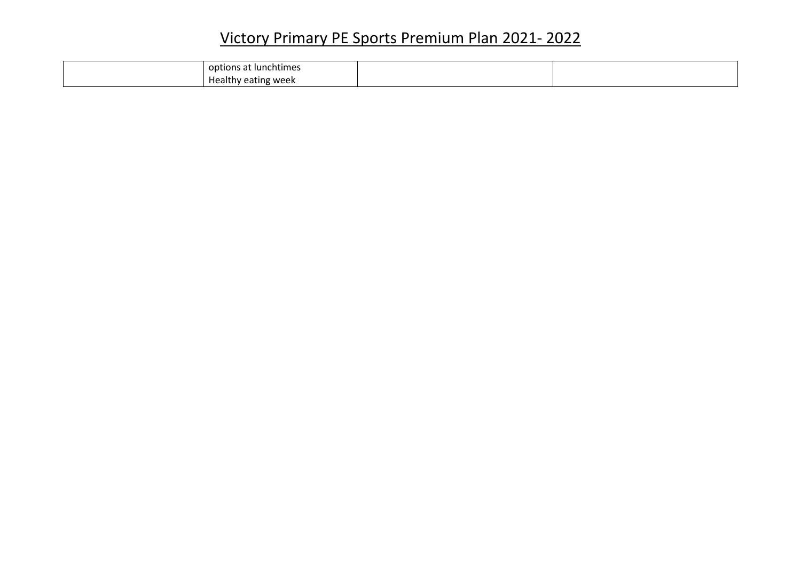## Victory Primary PE Sports Premium Plan 2021- 2022

| t Iunchtimes<br>$\sim$<br>op<br>…∪n⊆<br>৲dL. |  |
|----------------------------------------------|--|
| . <sub>dealth</sub><br>hy eating week        |  |